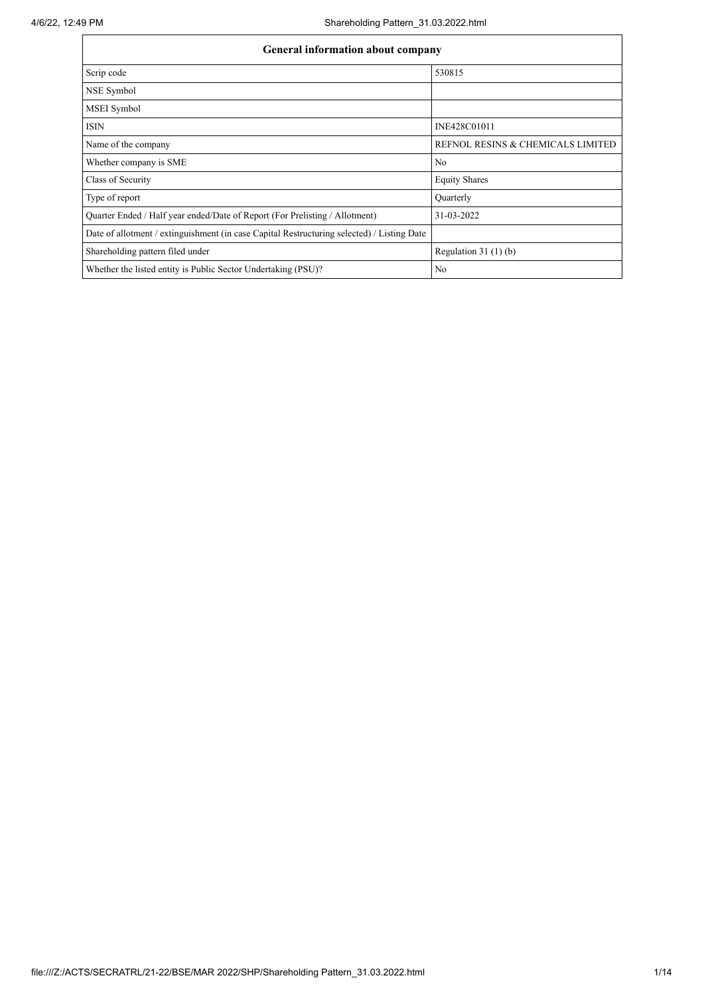| <b>General information about company</b>                                                   |                                   |  |  |  |  |  |  |  |
|--------------------------------------------------------------------------------------------|-----------------------------------|--|--|--|--|--|--|--|
| Scrip code                                                                                 | 530815                            |  |  |  |  |  |  |  |
| NSE Symbol                                                                                 |                                   |  |  |  |  |  |  |  |
| MSEI Symbol                                                                                |                                   |  |  |  |  |  |  |  |
| <b>ISIN</b>                                                                                | INE428C01011                      |  |  |  |  |  |  |  |
| Name of the company                                                                        | REFNOL RESINS & CHEMICALS LIMITED |  |  |  |  |  |  |  |
| Whether company is SME                                                                     | No                                |  |  |  |  |  |  |  |
| Class of Security                                                                          | <b>Equity Shares</b>              |  |  |  |  |  |  |  |
| Type of report                                                                             | Quarterly                         |  |  |  |  |  |  |  |
| Quarter Ended / Half year ended/Date of Report (For Prelisting / Allotment)                | 31-03-2022                        |  |  |  |  |  |  |  |
| Date of allotment / extinguishment (in case Capital Restructuring selected) / Listing Date |                                   |  |  |  |  |  |  |  |
| Shareholding pattern filed under                                                           | Regulation $31(1)(b)$             |  |  |  |  |  |  |  |
| Whether the listed entity is Public Sector Undertaking (PSU)?                              | N <sub>o</sub>                    |  |  |  |  |  |  |  |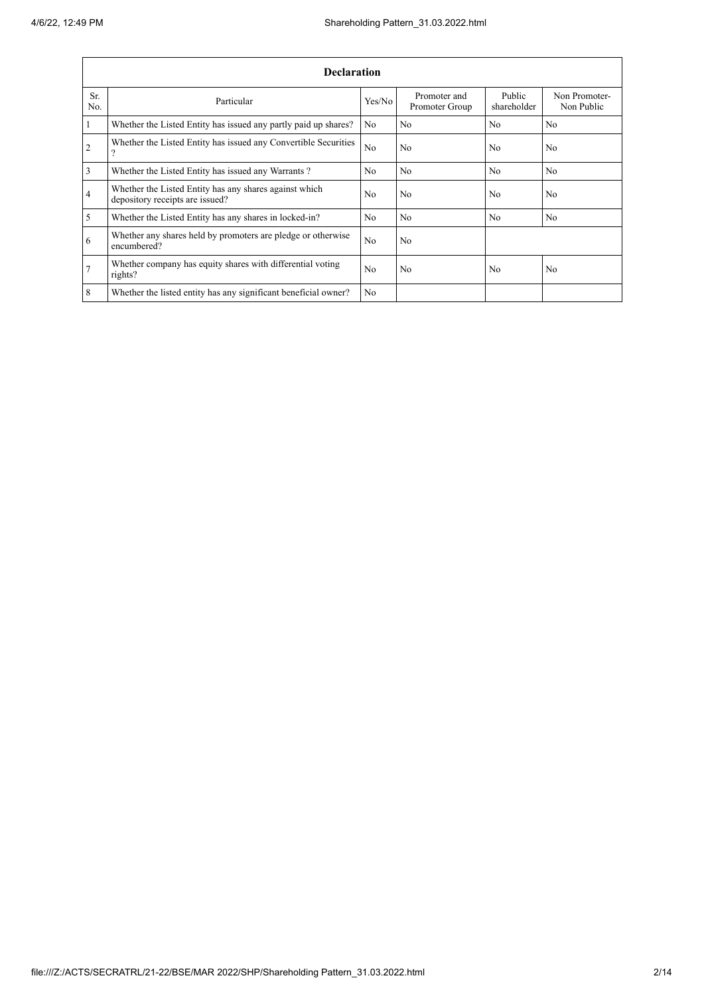|                 | <b>Declaration</b>                                                                        |                |                                |                       |                             |  |  |  |  |  |
|-----------------|-------------------------------------------------------------------------------------------|----------------|--------------------------------|-----------------------|-----------------------------|--|--|--|--|--|
| Sr.<br>No.      | Particular                                                                                | Yes/No         | Promoter and<br>Promoter Group | Public<br>shareholder | Non Promoter-<br>Non Public |  |  |  |  |  |
| $\mathbf{1}$    | Whether the Listed Entity has issued any partly paid up shares?                           | No             | N <sub>o</sub>                 | N <sub>o</sub>        | No                          |  |  |  |  |  |
| $\overline{2}$  | Whether the Listed Entity has issued any Convertible Securities<br>$\mathcal{P}$          | N <sub>o</sub> | No                             | N <sub>o</sub>        | N <sub>o</sub>              |  |  |  |  |  |
| 3               | Whether the Listed Entity has issued any Warrants?                                        | N <sub>0</sub> | No                             | N <sub>o</sub>        | No.                         |  |  |  |  |  |
| $\overline{4}$  | Whether the Listed Entity has any shares against which<br>depository receipts are issued? | N <sub>0</sub> | No                             | N <sub>0</sub>        | No                          |  |  |  |  |  |
| 5               | Whether the Listed Entity has any shares in locked-in?                                    | N <sub>o</sub> | No                             | N <sub>o</sub>        | No                          |  |  |  |  |  |
| 6               | Whether any shares held by promoters are pledge or otherwise<br>encumbered?               | N <sub>o</sub> | No                             |                       |                             |  |  |  |  |  |
| $7\phantom{.0}$ | Whether company has equity shares with differential voting<br>rights?                     | N <sub>0</sub> | No                             | N <sub>0</sub>        | N <sub>o</sub>              |  |  |  |  |  |
| 8               | Whether the listed entity has any significant beneficial owner?                           | N <sub>0</sub> |                                |                       |                             |  |  |  |  |  |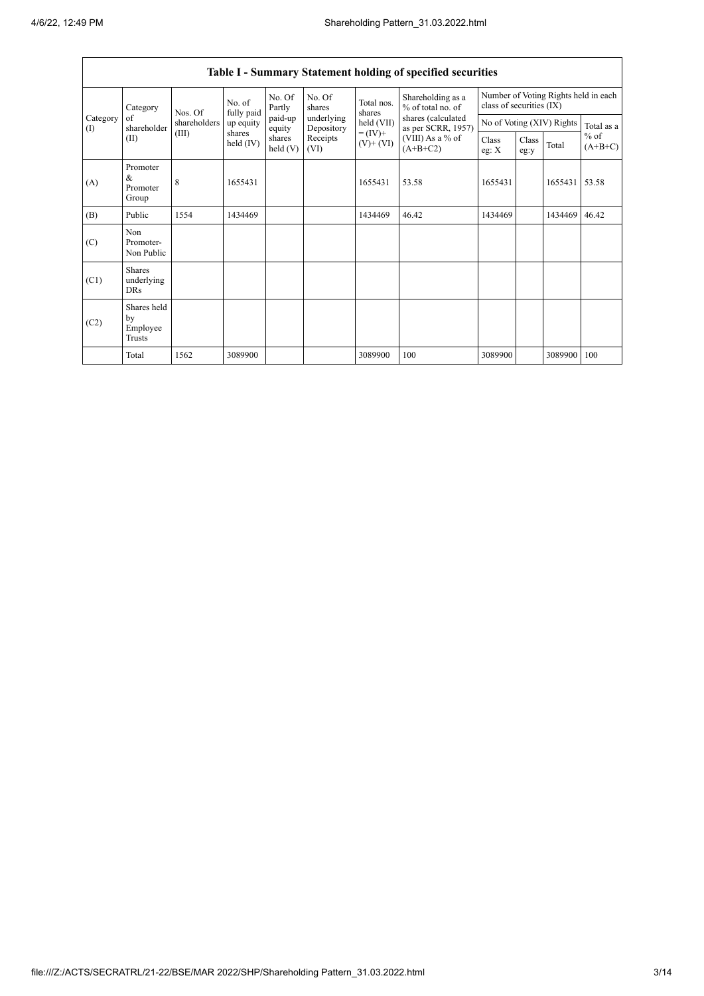$\overline{1}$ 

|                                        |                                                |                   |                       |                      |                          |                              | Table I - Summary Statement holding of specified securities                                                          |                                                                  |               |            |                     |
|----------------------------------------|------------------------------------------------|-------------------|-----------------------|----------------------|--------------------------|------------------------------|----------------------------------------------------------------------------------------------------------------------|------------------------------------------------------------------|---------------|------------|---------------------|
|                                        | Category                                       | No. of<br>Nos. Of | fully paid            | No. Of<br>Partly     | No. Of<br>shares         | Total nos.<br>shares         | Shareholding as a<br>% of total no. of<br>shares (calculated<br>as per SCRR, 1957)<br>(VIII) As a % of<br>$(A+B+C2)$ | Number of Voting Rights held in each<br>class of securities (IX) |               |            |                     |
| Category<br>$\left( \mathrm{I}\right)$ | of<br>shareholder                              | shareholders      | up equity             | paid-up<br>equity    | underlying<br>Depository | held (VII)                   |                                                                                                                      | No of Voting (XIV) Rights                                        |               | Total as a |                     |
| (II)                                   |                                                | (III)             | shares<br>held $(IV)$ | shares<br>held $(V)$ | Receipts<br>(VI)         | $= (IV) +$<br>$(V)$ + $(VI)$ |                                                                                                                      | Class<br>eg: $X$                                                 | Class<br>eg:y | Total      | $%$ of<br>$(A+B+C)$ |
| (A)                                    | Promoter<br>&<br>Promoter<br>Group             | 8                 | 1655431               |                      |                          | 1655431                      | 53.58                                                                                                                | 1655431                                                          |               | 1655431    | 53.58               |
| (B)                                    | Public                                         | 1554              | 1434469               |                      |                          | 1434469                      | 46.42                                                                                                                | 1434469                                                          |               | 1434469    | 46.42               |
| (C)                                    | Non<br>Promoter-<br>Non Public                 |                   |                       |                      |                          |                              |                                                                                                                      |                                                                  |               |            |                     |
| (C1)                                   | <b>Shares</b><br>underlying<br><b>DRs</b>      |                   |                       |                      |                          |                              |                                                                                                                      |                                                                  |               |            |                     |
| (C2)                                   | Shares held<br>by<br>Employee<br><b>Trusts</b> |                   |                       |                      |                          |                              |                                                                                                                      |                                                                  |               |            |                     |
|                                        | Total                                          | 1562              | 3089900               |                      |                          | 3089900                      | 100                                                                                                                  | 3089900                                                          |               | 3089900    | 100                 |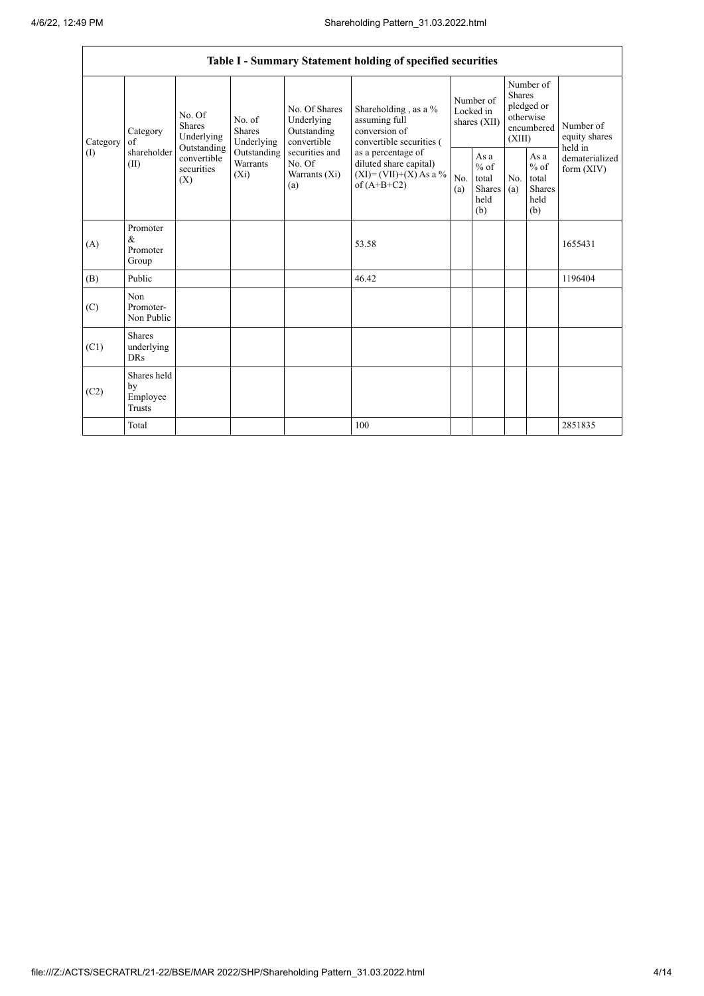| Table I - Summary Statement holding of specified securities |                                                |                                |                                                                                                   |                                                                                                                  |                                                                                                                                                                                  |                                        |                                                         |                                                                               |                                                         |                                       |
|-------------------------------------------------------------|------------------------------------------------|--------------------------------|---------------------------------------------------------------------------------------------------|------------------------------------------------------------------------------------------------------------------|----------------------------------------------------------------------------------------------------------------------------------------------------------------------------------|----------------------------------------|---------------------------------------------------------|-------------------------------------------------------------------------------|---------------------------------------------------------|---------------------------------------|
| Category<br>$($ $\Gamma$                                    | Category<br>of<br>shareholder<br>(II)<br>(X)   | No. Of<br>Shares<br>Underlying | No. of<br><b>Shares</b><br>Underlying<br>Outstanding<br>Outstanding<br><b>Warrants</b><br>$(X_i)$ | No. Of Shares<br>Underlying<br>Outstanding<br>convertible<br>securities and<br>No. Of<br>Warrants $(X_i)$<br>(a) | Shareholding, as a %<br>assuming full<br>conversion of<br>convertible securities (<br>as a percentage of<br>diluted share capital)<br>$(XI) = (VII)+(X) As a %$<br>of $(A+B+C2)$ | Number of<br>Locked in<br>shares (XII) |                                                         | Number of<br><b>Shares</b><br>pledged or<br>otherwise<br>encumbered<br>(XIII) |                                                         | Number of<br>equity shares<br>held in |
|                                                             |                                                | convertible<br>securities      |                                                                                                   |                                                                                                                  |                                                                                                                                                                                  | No.<br>(a)                             | As a<br>$%$ of<br>total<br><b>Shares</b><br>held<br>(b) | N <sub>0</sub><br>(a)                                                         | As a<br>$%$ of<br>total<br><b>Shares</b><br>held<br>(b) | dematerialized<br>form $(XIV)$        |
| (A)                                                         | Promoter<br>$\&$<br>Promoter<br>Group          |                                |                                                                                                   |                                                                                                                  | 53.58                                                                                                                                                                            |                                        |                                                         |                                                                               |                                                         | 1655431                               |
| (B)                                                         | Public                                         |                                |                                                                                                   |                                                                                                                  | 46.42                                                                                                                                                                            |                                        |                                                         |                                                                               |                                                         | 1196404                               |
| (C)                                                         | Non<br>Promoter-<br>Non Public                 |                                |                                                                                                   |                                                                                                                  |                                                                                                                                                                                  |                                        |                                                         |                                                                               |                                                         |                                       |
| (C1)                                                        | <b>Shares</b><br>underlying<br><b>DRs</b>      |                                |                                                                                                   |                                                                                                                  |                                                                                                                                                                                  |                                        |                                                         |                                                                               |                                                         |                                       |
| (C2)                                                        | Shares held<br>by<br>Employee<br><b>Trusts</b> |                                |                                                                                                   |                                                                                                                  |                                                                                                                                                                                  |                                        |                                                         |                                                                               |                                                         |                                       |
|                                                             | Total                                          |                                |                                                                                                   |                                                                                                                  | 100                                                                                                                                                                              |                                        |                                                         |                                                                               |                                                         | 2851835                               |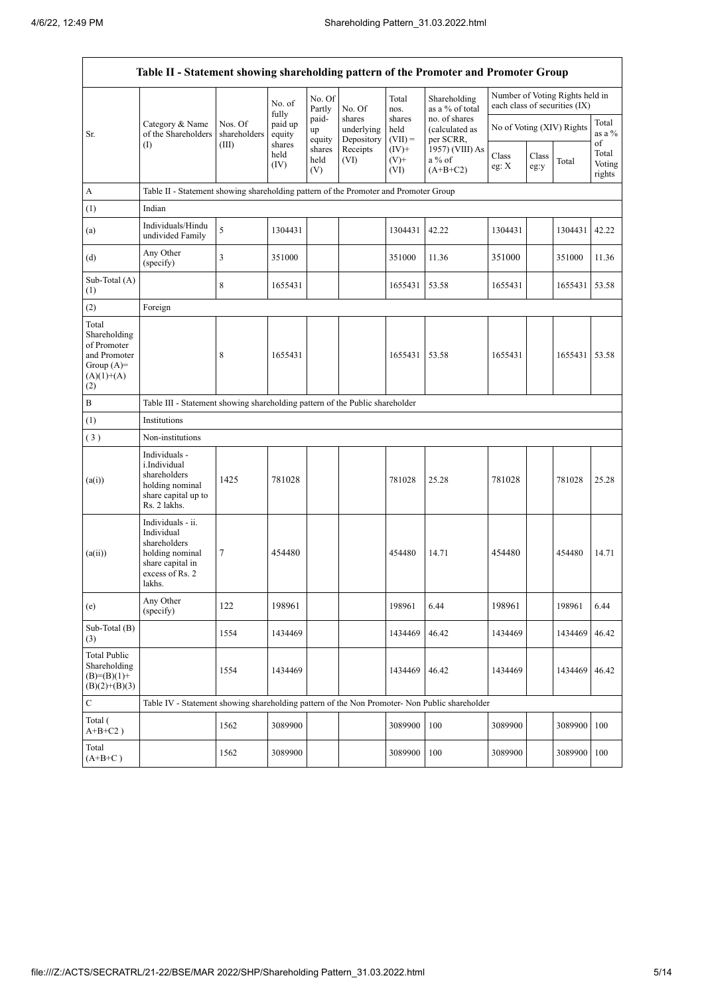$\mathbf{r}$ 

| Table II - Statement showing shareholding pattern of the Promoter and Promoter Group        |                                                                                                                     |                         |                            |                       |                                    |                             |                                              |                |               |                                                                  |                                 |
|---------------------------------------------------------------------------------------------|---------------------------------------------------------------------------------------------------------------------|-------------------------|----------------------------|-----------------------|------------------------------------|-----------------------------|----------------------------------------------|----------------|---------------|------------------------------------------------------------------|---------------------------------|
|                                                                                             |                                                                                                                     |                         | No. of                     | No. Of<br>Partly      | No. Of                             | Total<br>nos.               | Shareholding<br>as a % of total              |                |               | Number of Voting Rights held in<br>each class of securities (IX) |                                 |
| Sr.                                                                                         | Category & Name<br>of the Shareholders                                                                              | Nos. Of<br>shareholders | fully<br>paid up<br>equity | paid-<br>up<br>equity | shares<br>underlying<br>Depository | shares<br>held<br>$(VII) =$ | no. of shares<br>(calculated as<br>per SCRR, |                |               | No of Voting (XIV) Rights                                        | Total<br>as a %                 |
|                                                                                             | $($ $\Gamma$                                                                                                        | (III)                   | shares<br>held<br>(IV)     | shares<br>held<br>(V) | Receipts<br>(VI)                   | $(IV)+$<br>$(V)+$<br>(VI)   | 1957) (VIII) As<br>a % of<br>$(A+B+C2)$      | Class<br>eg: X | Class<br>eg:y | Total                                                            | of<br>Total<br>Voting<br>rights |
| A                                                                                           | Table II - Statement showing shareholding pattern of the Promoter and Promoter Group                                |                         |                            |                       |                                    |                             |                                              |                |               |                                                                  |                                 |
| (1)                                                                                         | Indian                                                                                                              |                         |                            |                       |                                    |                             |                                              |                |               |                                                                  |                                 |
| (a)                                                                                         | Individuals/Hindu<br>undivided Family                                                                               | 5                       | 1304431                    |                       |                                    | 1304431                     | 42.22                                        | 1304431        |               | 1304431                                                          | 42.22                           |
| (d)                                                                                         | Any Other<br>(specify)                                                                                              | 3                       | 351000                     |                       |                                    | 351000                      | 11.36                                        | 351000         |               | 351000                                                           | 11.36                           |
| Sub-Total (A)<br>(1)                                                                        |                                                                                                                     | 8                       | 1655431                    |                       |                                    | 1655431                     | 53.58                                        | 1655431        |               | 1655431                                                          | 53.58                           |
| (2)                                                                                         | Foreign                                                                                                             |                         |                            |                       |                                    |                             |                                              |                |               |                                                                  |                                 |
| Total<br>Shareholding<br>of Promoter<br>and Promoter<br>Group $(A)=$<br>$(A)(1)+(A)$<br>(2) |                                                                                                                     | 8                       | 1655431                    |                       |                                    | 1655431                     | 53.58                                        | 1655431        |               | 1655431 53.58                                                    |                                 |
| $\, {\bf B}$                                                                                | Table III - Statement showing shareholding pattern of the Public shareholder                                        |                         |                            |                       |                                    |                             |                                              |                |               |                                                                  |                                 |
| (1)                                                                                         | Institutions                                                                                                        |                         |                            |                       |                                    |                             |                                              |                |               |                                                                  |                                 |
| (3)                                                                                         | Non-institutions                                                                                                    |                         |                            |                       |                                    |                             |                                              |                |               |                                                                  |                                 |
| (a(i))                                                                                      | Individuals -<br>i.Individual<br>shareholders<br>holding nominal<br>share capital up to<br>Rs. 2 lakhs.             | 1425                    | 781028                     |                       |                                    | 781028                      | 25.28                                        | 781028         |               | 781028                                                           | 25.28                           |
| (a(ii))                                                                                     | Individuals - ii.<br>Individual<br>shareholders<br>holding nominal<br>share capital in<br>excess of Rs. 2<br>lakhs. | 7                       | 454480                     |                       |                                    | 454480                      | 14.71                                        | 454480         |               | 454480                                                           | 14.71                           |
| (e)                                                                                         | Any Other<br>(specify)                                                                                              | 122                     | 198961                     |                       |                                    | 198961                      | 6.44                                         | 198961         |               | 198961                                                           | 6.44                            |
| Sub-Total (B)<br>(3)                                                                        |                                                                                                                     | 1554                    | 1434469                    |                       |                                    | 1434469                     | 46.42                                        | 1434469        |               | 1434469                                                          | 46.42                           |
| <b>Total Public</b><br>Shareholding<br>$(B)=(B)(1)+$<br>$(B)(2)+(B)(3)$                     |                                                                                                                     | 1554                    | 1434469                    |                       |                                    | 1434469                     | 46.42                                        | 1434469        |               | 1434469                                                          | 46.42                           |
| $\mathbf C$                                                                                 | Table IV - Statement showing shareholding pattern of the Non Promoter- Non Public shareholder                       |                         |                            |                       |                                    |                             |                                              |                |               |                                                                  |                                 |
| Total (<br>$A+B+C2$ )                                                                       |                                                                                                                     | 1562                    | 3089900                    |                       |                                    | 3089900                     | 100                                          | 3089900        |               | 3089900                                                          | 100                             |
| Total<br>$(A+B+C)$                                                                          |                                                                                                                     | 1562                    | 3089900                    |                       |                                    | 3089900                     | 100                                          | 3089900        |               | 3089900                                                          | 100                             |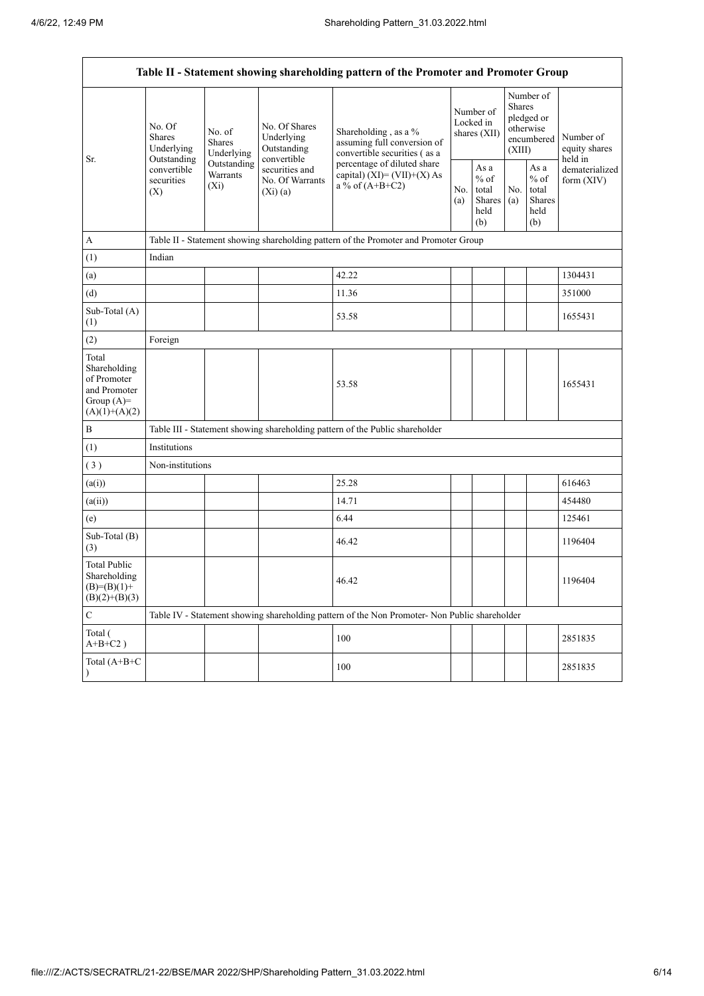|                                                                                         | Table II - Statement showing shareholding pattern of the Promoter and Promoter Group |                                       |                                                             |                                                                                               |                                        |                                                  |                  |                                                    |                                       |  |
|-----------------------------------------------------------------------------------------|--------------------------------------------------------------------------------------|---------------------------------------|-------------------------------------------------------------|-----------------------------------------------------------------------------------------------|----------------------------------------|--------------------------------------------------|------------------|----------------------------------------------------|---------------------------------------|--|
|                                                                                         | No. Of<br>Shares<br>Underlying                                                       | No. of<br><b>Shares</b><br>Underlying | No. Of Shares<br>Underlying<br>Outstanding                  | Shareholding, as a %<br>assuming full conversion of<br>convertible securities (as a           | Number of<br>Locked in<br>shares (XII) |                                                  | Shares<br>(XIII) | Number of<br>pledged or<br>otherwise<br>encumbered | Number of<br>equity shares<br>held in |  |
| Sr.                                                                                     | Outstanding<br>convertible<br>securities<br>(X)                                      | Outstanding<br>Warrants<br>$(X_i)$    | convertible<br>securities and<br>No. Of Warrants<br>(Xi)(a) | percentage of diluted share<br>capital) $(XI) = (VII)+(X) As$<br>a % of $(A+B+C2)$            |                                        | As a<br>$%$ of<br>total<br>Shares<br>held<br>(b) | No.<br>(a)       | As a<br>$%$ of<br>total<br>Shares<br>held<br>(b)   | dematerialized<br>form (XIV)          |  |
| А                                                                                       | Table II - Statement showing shareholding pattern of the Promoter and Promoter Group |                                       |                                                             |                                                                                               |                                        |                                                  |                  |                                                    |                                       |  |
| (1)                                                                                     | Indian                                                                               |                                       |                                                             |                                                                                               |                                        |                                                  |                  |                                                    |                                       |  |
| (a)                                                                                     |                                                                                      |                                       |                                                             | 42.22                                                                                         |                                        |                                                  |                  |                                                    | 1304431                               |  |
| (d)                                                                                     |                                                                                      |                                       |                                                             | 11.36                                                                                         |                                        |                                                  |                  |                                                    | 351000                                |  |
| Sub-Total (A)<br>(1)                                                                    |                                                                                      |                                       |                                                             | 53.58                                                                                         |                                        |                                                  |                  |                                                    | 1655431                               |  |
| (2)                                                                                     | Foreign                                                                              |                                       |                                                             |                                                                                               |                                        |                                                  |                  |                                                    |                                       |  |
| Total<br>Shareholding<br>of Promoter<br>and Promoter<br>Group $(A)=$<br>$(A)(1)+(A)(2)$ |                                                                                      |                                       |                                                             | 53.58                                                                                         |                                        |                                                  |                  |                                                    | 1655431                               |  |
| $\, {\bf B}$                                                                            |                                                                                      |                                       |                                                             | Table III - Statement showing shareholding pattern of the Public shareholder                  |                                        |                                                  |                  |                                                    |                                       |  |
| (1)                                                                                     | Institutions                                                                         |                                       |                                                             |                                                                                               |                                        |                                                  |                  |                                                    |                                       |  |
| (3)                                                                                     | Non-institutions                                                                     |                                       |                                                             |                                                                                               |                                        |                                                  |                  |                                                    |                                       |  |
| (a(i))                                                                                  |                                                                                      |                                       |                                                             | 25.28                                                                                         |                                        |                                                  |                  |                                                    | 616463                                |  |
| (a(ii))                                                                                 |                                                                                      |                                       |                                                             | 14.71                                                                                         |                                        |                                                  |                  |                                                    | 454480                                |  |
| (e)                                                                                     |                                                                                      |                                       |                                                             | 6.44                                                                                          |                                        |                                                  |                  |                                                    | 125461                                |  |
| Sub-Total (B)<br>(3)                                                                    |                                                                                      |                                       |                                                             | 46.42                                                                                         |                                        |                                                  |                  |                                                    | 1196404                               |  |
| Total Public<br>Shareholding<br>$(B)=(B)(1)+$<br>$(B)(2)+(B)(3)$                        |                                                                                      |                                       |                                                             | 46.42                                                                                         |                                        |                                                  |                  |                                                    | 1196404                               |  |
| $\mathbf C$                                                                             |                                                                                      |                                       |                                                             | Table IV - Statement showing shareholding pattern of the Non Promoter- Non Public shareholder |                                        |                                                  |                  |                                                    |                                       |  |
| Total (<br>$A+B+C2$ )                                                                   |                                                                                      |                                       |                                                             | 100                                                                                           |                                        |                                                  |                  |                                                    | 2851835                               |  |
| Total (A+B+C                                                                            |                                                                                      |                                       |                                                             | 100                                                                                           |                                        |                                                  |                  |                                                    | 2851835                               |  |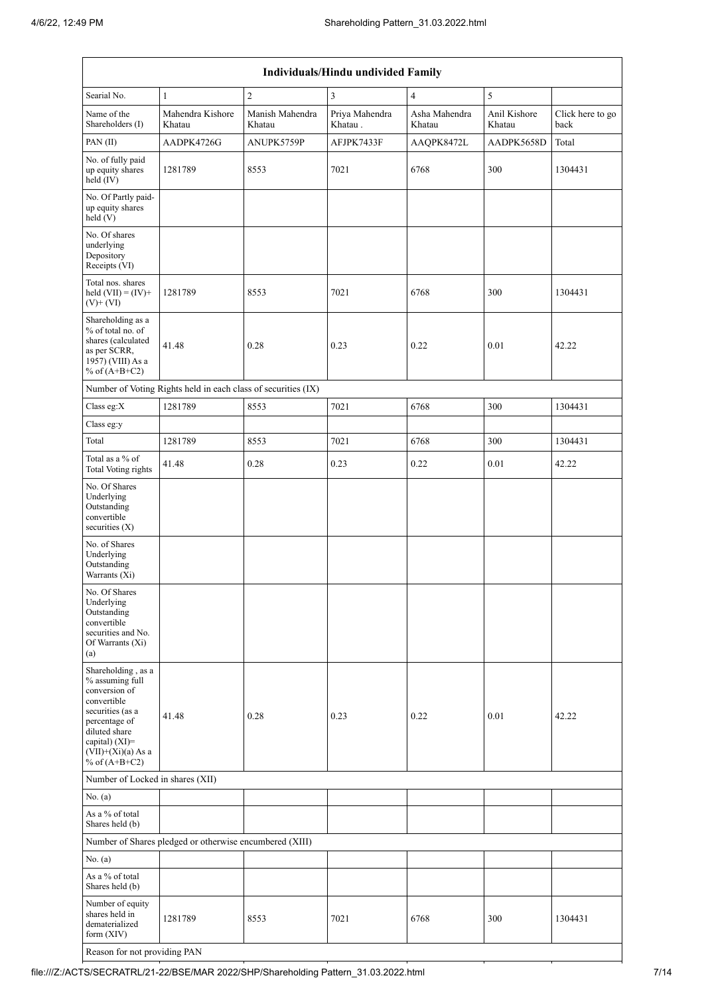| Individuals/Hindu undivided Family                                                                                                                                                          |                                                               |                           |                           |                         |                        |                          |  |  |  |  |
|---------------------------------------------------------------------------------------------------------------------------------------------------------------------------------------------|---------------------------------------------------------------|---------------------------|---------------------------|-------------------------|------------------------|--------------------------|--|--|--|--|
| Searial No.                                                                                                                                                                                 | $\mathbf{1}$                                                  | $\overline{2}$            | $\mathbf{3}$              | $\overline{4}$          | 5                      |                          |  |  |  |  |
| Name of the<br>Shareholders (I)                                                                                                                                                             | Mahendra Kishore<br>Khatau                                    | Manish Mahendra<br>Khatau | Priya Mahendra<br>Khatau. | Asha Mahendra<br>Khatau | Anil Kishore<br>Khatau | Click here to go<br>back |  |  |  |  |
| PAN(II)                                                                                                                                                                                     | AADPK4726G                                                    | ANUPK5759P                | AFJPK7433F                | AAQPK8472L              | AADPK5658D             | Total                    |  |  |  |  |
| No. of fully paid<br>up equity shares<br>held (IV)                                                                                                                                          | 1281789                                                       | 8553                      | 7021                      | 6768                    | 300                    | 1304431                  |  |  |  |  |
| No. Of Partly paid-<br>up equity shares<br>held (V)                                                                                                                                         |                                                               |                           |                           |                         |                        |                          |  |  |  |  |
| No. Of shares<br>underlying<br>Depository<br>Receipts (VI)                                                                                                                                  |                                                               |                           |                           |                         |                        |                          |  |  |  |  |
| Total nos. shares<br>held $(VII) = (IV) +$<br>$(V)$ + $(VI)$                                                                                                                                | 1281789                                                       | 8553                      | 7021                      | 6768                    | 300                    | 1304431                  |  |  |  |  |
| Shareholding as a<br>% of total no. of<br>shares (calculated<br>as per SCRR,<br>1957) (VIII) As a<br>% of $(A+B+C2)$                                                                        | 41.48                                                         | 0.28                      | 0.23                      | 0.22                    | 0.01                   | 42.22                    |  |  |  |  |
|                                                                                                                                                                                             | Number of Voting Rights held in each class of securities (IX) |                           |                           |                         |                        |                          |  |  |  |  |
| Class eg:X                                                                                                                                                                                  | 1281789                                                       | 8553                      | 7021                      | 6768                    | 300                    | 1304431                  |  |  |  |  |
| Class eg:y                                                                                                                                                                                  |                                                               |                           |                           |                         |                        |                          |  |  |  |  |
| Total                                                                                                                                                                                       | 1281789                                                       | 8553                      | 7021                      | 6768                    | 300                    | 1304431                  |  |  |  |  |
| Total as a % of<br><b>Total Voting rights</b>                                                                                                                                               | 41.48                                                         | 0.28                      | 0.23                      | 0.22                    | 0.01                   | 42.22                    |  |  |  |  |
| No. Of Shares<br>Underlying<br>Outstanding<br>convertible<br>securities $(X)$                                                                                                               |                                                               |                           |                           |                         |                        |                          |  |  |  |  |
| No. of Shares<br>Underlying<br>Outstanding<br>Warrants (Xi)                                                                                                                                 |                                                               |                           |                           |                         |                        |                          |  |  |  |  |
| No. Of Shares<br>Underlying<br>Outstanding<br>convertible<br>securities and No.<br>Of Warrants (Xi)<br>(a)                                                                                  |                                                               |                           |                           |                         |                        |                          |  |  |  |  |
| Shareholding, as a<br>% assuming full<br>conversion of<br>convertible<br>securities (as a<br>percentage of<br>diluted share<br>capital) $(XI)$ =<br>$(VII)+(Xi)(a)$ As a<br>% of $(A+B+C2)$ | 41.48                                                         | 0.28                      | 0.23                      | 0.22                    | 0.01                   | 42.22                    |  |  |  |  |
| Number of Locked in shares (XII)                                                                                                                                                            |                                                               |                           |                           |                         |                        |                          |  |  |  |  |
| No. (a)                                                                                                                                                                                     |                                                               |                           |                           |                         |                        |                          |  |  |  |  |
| As a % of total<br>Shares held (b)                                                                                                                                                          |                                                               |                           |                           |                         |                        |                          |  |  |  |  |
|                                                                                                                                                                                             | Number of Shares pledged or otherwise encumbered (XIII)       |                           |                           |                         |                        |                          |  |  |  |  |
| No. (a)                                                                                                                                                                                     |                                                               |                           |                           |                         |                        |                          |  |  |  |  |
| As a % of total<br>Shares held (b)                                                                                                                                                          |                                                               |                           |                           |                         |                        |                          |  |  |  |  |
| Number of equity<br>shares held in<br>dematerialized<br>form $(XIV)$                                                                                                                        | 1281789                                                       | 8553                      | 7021                      | 6768                    | 300                    | 1304431                  |  |  |  |  |

Reason for not providing PAN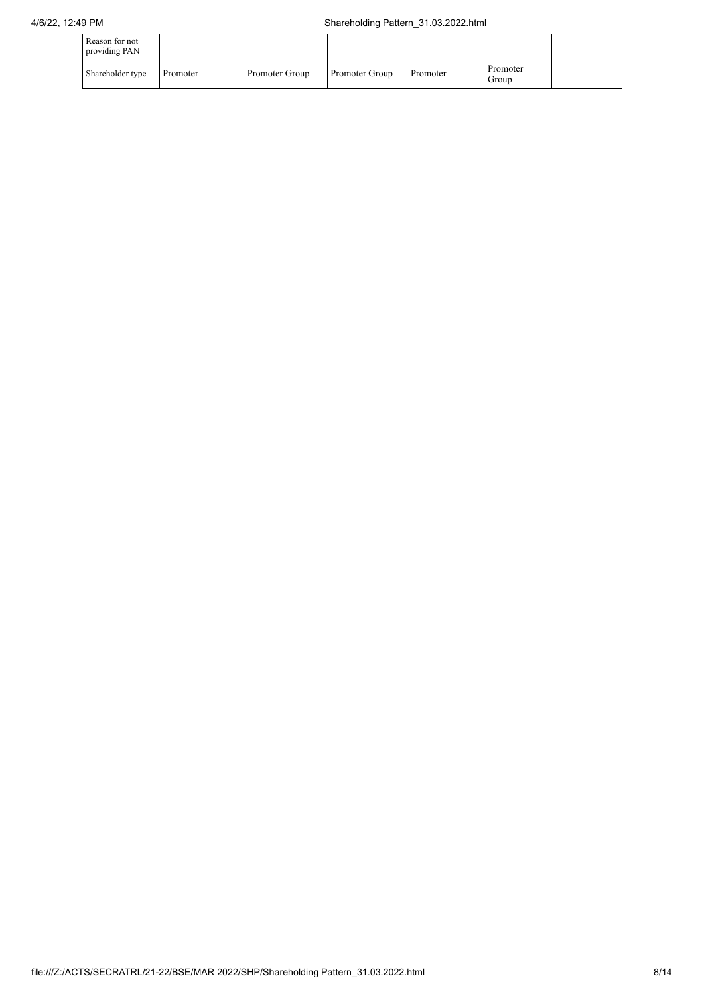| Reason for not<br>providing PAN |          |                |                |          |                   |  |
|---------------------------------|----------|----------------|----------------|----------|-------------------|--|
| Shareholder type                | Promoter | Promoter Group | Promoter Group | Promoter | Promoter<br>Group |  |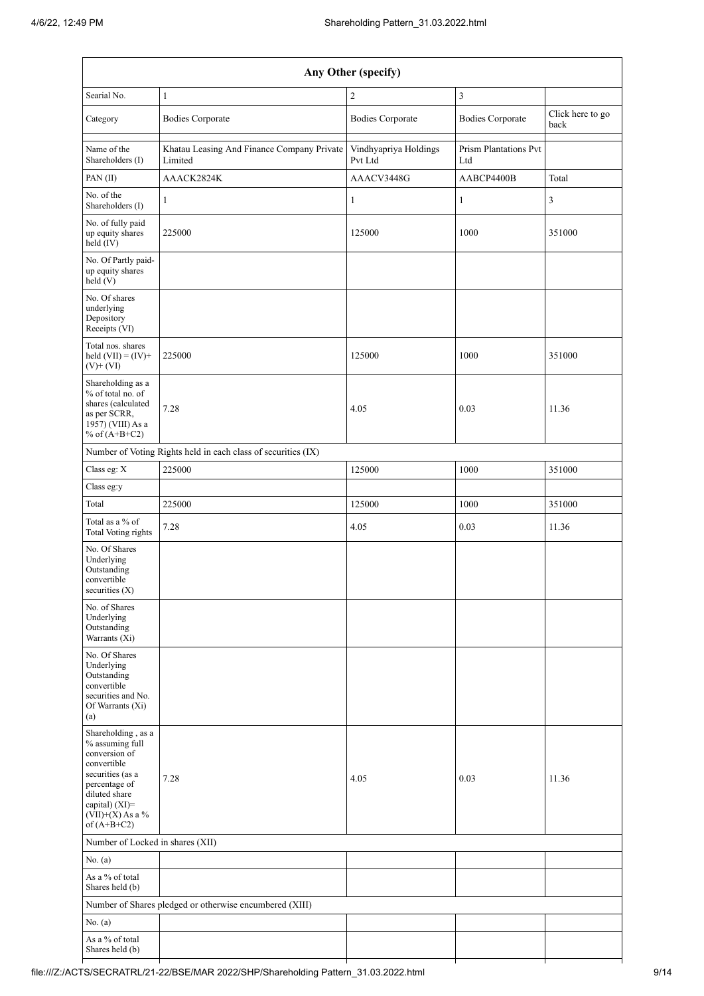| Any Other (specify)                                                                                                                                                                  |                                                         |                                  |                              |                          |  |  |  |  |  |  |
|--------------------------------------------------------------------------------------------------------------------------------------------------------------------------------------|---------------------------------------------------------|----------------------------------|------------------------------|--------------------------|--|--|--|--|--|--|
| Searial No.                                                                                                                                                                          | $\mathbf{1}$                                            | $\mathfrak{2}$                   | 3                            |                          |  |  |  |  |  |  |
| Category                                                                                                                                                                             | <b>Bodies Corporate</b>                                 | <b>Bodies Corporate</b>          | <b>Bodies Corporate</b>      | Click here to go<br>back |  |  |  |  |  |  |
| Name of the<br>Shareholders (I)                                                                                                                                                      | Khatau Leasing And Finance Company Private<br>Limited   | Vindhyapriya Holdings<br>Pvt Ltd | Prism Plantations Pvt<br>Ltd |                          |  |  |  |  |  |  |
| PAN(II)                                                                                                                                                                              | AAACK2824K                                              | AAACV3448G                       | AABCP4400B                   | Total                    |  |  |  |  |  |  |
| No. of the<br>Shareholders (I)                                                                                                                                                       | $\mathbf{1}$                                            | $\mathbf{1}$                     | $\mathbf{1}$                 | 3                        |  |  |  |  |  |  |
| No. of fully paid<br>up equity shares<br>held (IV)                                                                                                                                   | 225000                                                  | 125000                           | 1000                         | 351000                   |  |  |  |  |  |  |
| No. Of Partly paid-<br>up equity shares<br>held(V)                                                                                                                                   |                                                         |                                  |                              |                          |  |  |  |  |  |  |
| No. Of shares<br>underlying<br>Depository<br>Receipts (VI)                                                                                                                           |                                                         |                                  |                              |                          |  |  |  |  |  |  |
| Total nos. shares<br>held $(VII) = (IV) +$<br>$(V)+(VI)$                                                                                                                             | 225000                                                  | 125000                           | 1000                         | 351000                   |  |  |  |  |  |  |
| Shareholding as a<br>% of total no. of<br>shares (calculated<br>as per SCRR,<br>1957) (VIII) As a<br>% of $(A+B+C2)$                                                                 | 7.28                                                    | 4.05                             | 0.03                         | 11.36                    |  |  |  |  |  |  |
| Number of Voting Rights held in each class of securities (IX)                                                                                                                        |                                                         |                                  |                              |                          |  |  |  |  |  |  |
| Class eg: X                                                                                                                                                                          | 225000                                                  | 125000                           | 1000                         | 351000                   |  |  |  |  |  |  |
| Class eg:y                                                                                                                                                                           |                                                         |                                  |                              |                          |  |  |  |  |  |  |
| Total                                                                                                                                                                                | 225000                                                  | 125000                           | 1000                         | 351000                   |  |  |  |  |  |  |
| Total as a % of<br>Total Voting rights                                                                                                                                               | 7.28                                                    | 4.05                             | 0.03                         | 11.36                    |  |  |  |  |  |  |
| No. Of Shares<br>Underlying<br>Outstanding<br>convertible<br>securities $(X)$                                                                                                        |                                                         |                                  |                              |                          |  |  |  |  |  |  |
| No. of Shares<br>Underlying<br>Outstanding<br>Warrants (Xi)                                                                                                                          |                                                         |                                  |                              |                          |  |  |  |  |  |  |
| No. Of Shares<br>Underlying<br>Outstanding<br>convertible<br>securities and No.<br>Of Warrants (Xi)<br>(a)                                                                           |                                                         |                                  |                              |                          |  |  |  |  |  |  |
| Shareholding, as a<br>% assuming full<br>conversion of<br>convertible<br>securities (as a<br>percentage of<br>diluted share<br>capital) (XI)=<br>$(VII)+(X)$ As a %<br>of $(A+B+C2)$ | 7.28                                                    | 4.05                             | 0.03                         | 11.36                    |  |  |  |  |  |  |
| Number of Locked in shares (XII)                                                                                                                                                     |                                                         |                                  |                              |                          |  |  |  |  |  |  |
| No. $(a)$                                                                                                                                                                            |                                                         |                                  |                              |                          |  |  |  |  |  |  |
| As a $\%$ of total                                                                                                                                                                   |                                                         |                                  |                              |                          |  |  |  |  |  |  |
| Shares held (b)                                                                                                                                                                      |                                                         |                                  |                              |                          |  |  |  |  |  |  |
|                                                                                                                                                                                      | Number of Shares pledged or otherwise encumbered (XIII) |                                  |                              |                          |  |  |  |  |  |  |
| No. (a)<br>As a % of total<br>Shares held (b)                                                                                                                                        |                                                         |                                  |                              |                          |  |  |  |  |  |  |

 $\mathbf{r}$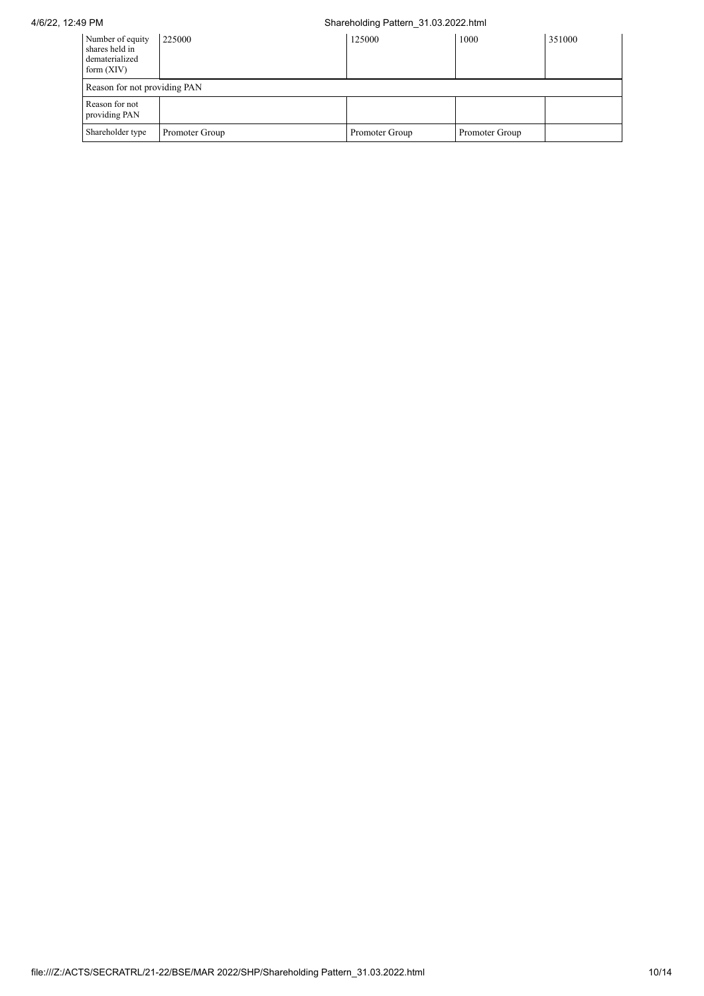## 4/6/22, 12:49 PM Shareholding Pattern\_31.03.2022.html

| Number of equity<br>shares held in<br>dematerialized<br>form $(XIV)$ | 225000                       | 125000         | 1000           | 351000 |  |  |  |  |  |  |
|----------------------------------------------------------------------|------------------------------|----------------|----------------|--------|--|--|--|--|--|--|
|                                                                      | Reason for not providing PAN |                |                |        |  |  |  |  |  |  |
| Reason for not<br>providing PAN                                      |                              |                |                |        |  |  |  |  |  |  |
| Shareholder type                                                     | Promoter Group               | Promoter Group | Promoter Group |        |  |  |  |  |  |  |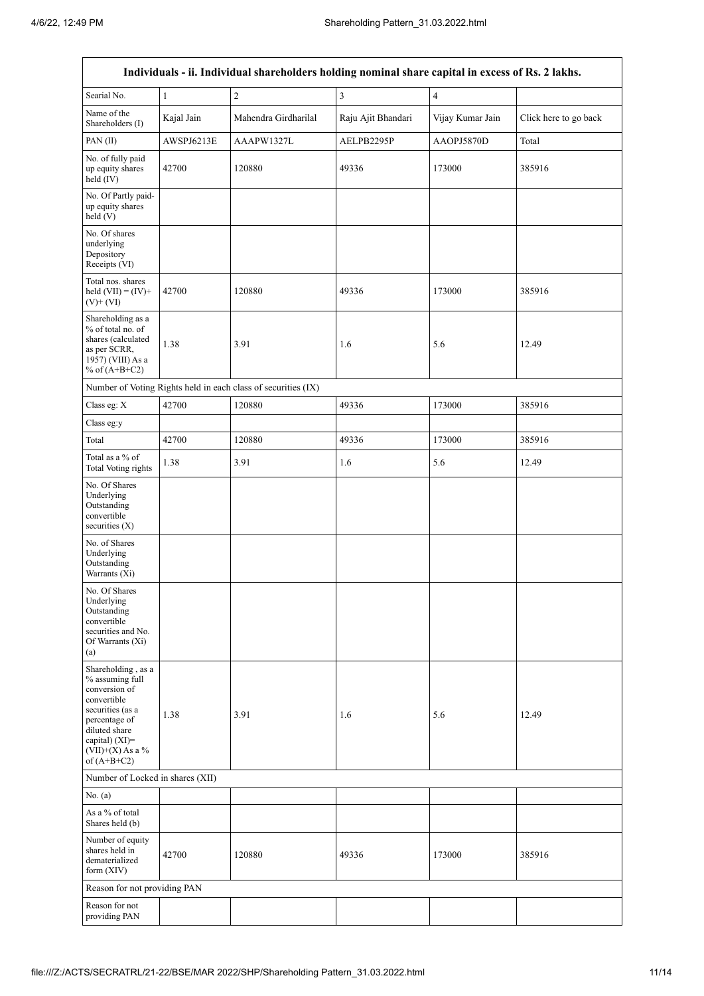|                                                                                                                                                                                      |              | Individuals - ii. Individual shareholders holding nominal share capital in excess of Rs. 2 lakhs. |                    |                  |                       |
|--------------------------------------------------------------------------------------------------------------------------------------------------------------------------------------|--------------|---------------------------------------------------------------------------------------------------|--------------------|------------------|-----------------------|
| Searial No.                                                                                                                                                                          | $\mathbf{1}$ | $\sqrt{2}$                                                                                        | $\mathfrak{Z}$     | $\overline{4}$   |                       |
| Name of the<br>Shareholders (I)                                                                                                                                                      | Kajal Jain   | Mahendra Girdharilal                                                                              | Raju Ajit Bhandari | Vijay Kumar Jain | Click here to go back |
| PAN(II)                                                                                                                                                                              | AWSPJ6213E   | AAAPW1327L                                                                                        | AELPB2295P         | AAOPJ5870D       | Total                 |
| No. of fully paid<br>up equity shares<br>held (IV)                                                                                                                                   | 42700        | 120880                                                                                            | 49336              | 173000           | 385916                |
| No. Of Partly paid-<br>up equity shares<br>held (V)                                                                                                                                  |              |                                                                                                   |                    |                  |                       |
| No. Of shares<br>underlying<br>Depository<br>Receipts (VI)                                                                                                                           |              |                                                                                                   |                    |                  |                       |
| Total nos. shares<br>held $(VII) = (IV) +$<br>$(V)$ + $(VI)$                                                                                                                         | 42700        | 120880                                                                                            | 49336              | 173000           | 385916                |
| Shareholding as a<br>% of total no. of<br>shares (calculated<br>as per SCRR,<br>1957) (VIII) As a<br>% of $(A+B+C2)$                                                                 | 1.38         | 3.91                                                                                              | 1.6                | 5.6              | 12.49                 |
|                                                                                                                                                                                      |              | Number of Voting Rights held in each class of securities (IX)                                     |                    |                  |                       |
| Class eg: X                                                                                                                                                                          | 42700        | 120880                                                                                            | 49336              | 173000           | 385916                |
| Class eg:y                                                                                                                                                                           |              |                                                                                                   |                    |                  |                       |
| Total                                                                                                                                                                                | 42700        | 120880                                                                                            | 49336              | 173000           | 385916                |
| Total as a % of<br><b>Total Voting rights</b>                                                                                                                                        | 1.38         | 3.91                                                                                              | 1.6                | 5.6              | 12.49                 |
| No. Of Shares<br>Underlying<br>Outstanding<br>convertible<br>securities $(X)$                                                                                                        |              |                                                                                                   |                    |                  |                       |
| No. of Shares<br>Underlying<br>Outstanding<br>Warrants (Xi)                                                                                                                          |              |                                                                                                   |                    |                  |                       |
| No. Of Shares<br>Underlying<br>Outstanding<br>convertible<br>securities and No.<br>Of Warrants (Xi)<br>(a)                                                                           |              |                                                                                                   |                    |                  |                       |
| Shareholding, as a<br>% assuming full<br>conversion of<br>convertible<br>securities (as a<br>percentage of<br>diluted share<br>capital) (XI)=<br>$(VII)+(X)$ As a %<br>of $(A+B+C2)$ | 1.38         | 3.91                                                                                              | 1.6                | 5.6              | 12.49                 |
| Number of Locked in shares (XII)                                                                                                                                                     |              |                                                                                                   |                    |                  |                       |
| No. (a)                                                                                                                                                                              |              |                                                                                                   |                    |                  |                       |
| As a % of total<br>Shares held (b)                                                                                                                                                   |              |                                                                                                   |                    |                  |                       |
| Number of equity<br>shares held in<br>dematerialized<br>form $(XIV)$                                                                                                                 | 42700        | 120880                                                                                            | 49336              | 173000           | 385916                |
| Reason for not providing PAN                                                                                                                                                         |              |                                                                                                   |                    |                  |                       |
| Reason for not<br>providing PAN                                                                                                                                                      |              |                                                                                                   |                    |                  |                       |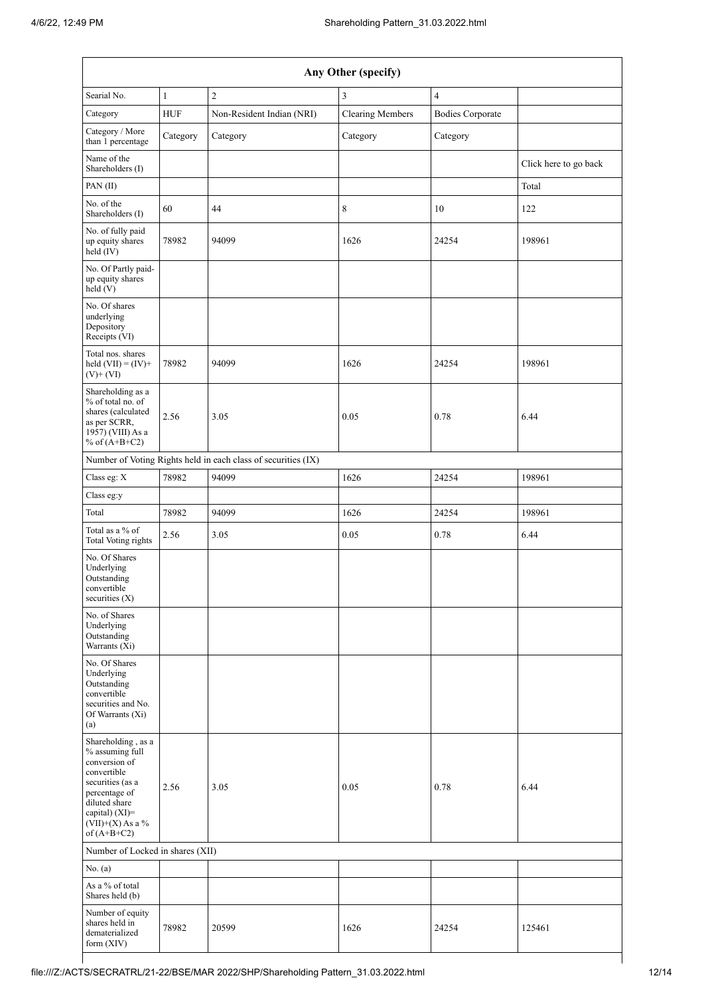| Any Other (specify)                                                                                                                                                                  |              |                                                               |                         |                         |                       |  |  |  |  |  |
|--------------------------------------------------------------------------------------------------------------------------------------------------------------------------------------|--------------|---------------------------------------------------------------|-------------------------|-------------------------|-----------------------|--|--|--|--|--|
| Searial No.                                                                                                                                                                          | $\mathbf{1}$ | $\overline{c}$                                                | 3                       | $\overline{4}$          |                       |  |  |  |  |  |
| Category                                                                                                                                                                             | <b>HUF</b>   | Non-Resident Indian (NRI)                                     | <b>Clearing Members</b> | <b>Bodies Corporate</b> |                       |  |  |  |  |  |
| Category / More<br>than 1 percentage                                                                                                                                                 | Category     | Category                                                      | Category                | Category                |                       |  |  |  |  |  |
| Name of the<br>Shareholders (I)                                                                                                                                                      |              |                                                               |                         |                         | Click here to go back |  |  |  |  |  |
| PAN(II)                                                                                                                                                                              |              |                                                               |                         |                         | Total                 |  |  |  |  |  |
| No. of the<br>Shareholders (I)                                                                                                                                                       | 60           | 44                                                            | 8                       | 10                      | 122                   |  |  |  |  |  |
| No. of fully paid<br>up equity shares<br>held (IV)                                                                                                                                   | 78982        | 94099                                                         | 1626                    | 24254                   | 198961                |  |  |  |  |  |
| No. Of Partly paid-<br>up equity shares<br>held(V)                                                                                                                                   |              |                                                               |                         |                         |                       |  |  |  |  |  |
| No. Of shares<br>underlying<br>Depository<br>Receipts (VI)                                                                                                                           |              |                                                               |                         |                         |                       |  |  |  |  |  |
| Total nos. shares<br>held $(VII) = (IV) +$<br>$(V)+(VI)$                                                                                                                             | 78982        | 94099                                                         | 1626                    | 24254                   | 198961                |  |  |  |  |  |
| Shareholding as a<br>% of total no. of<br>shares (calculated<br>as per SCRR,<br>1957) (VIII) As a<br>% of $(A+B+C2)$                                                                 | 2.56         | 3.05                                                          | 0.05                    | 0.78                    | 6.44                  |  |  |  |  |  |
|                                                                                                                                                                                      |              | Number of Voting Rights held in each class of securities (IX) |                         |                         |                       |  |  |  |  |  |
| Class eg: X                                                                                                                                                                          | 78982        | 94099                                                         | 1626                    | 24254                   | 198961                |  |  |  |  |  |
| Class eg:y                                                                                                                                                                           |              |                                                               |                         |                         |                       |  |  |  |  |  |
| Total                                                                                                                                                                                | 78982        | 94099                                                         | 1626                    | 24254                   | 198961                |  |  |  |  |  |
| Total as a % of<br><b>Total Voting rights</b>                                                                                                                                        | 2.56         | 3.05                                                          | 0.05                    | 0.78                    | 6.44                  |  |  |  |  |  |
| No. Of Shares<br>Underlying<br>Outstanding<br>convertible<br>securities $(X)$                                                                                                        |              |                                                               |                         |                         |                       |  |  |  |  |  |
| No. of Shares<br>Underlying<br>Outstanding<br>Warrants (Xi)                                                                                                                          |              |                                                               |                         |                         |                       |  |  |  |  |  |
| No. Of Shares<br>Underlying<br>Outstanding<br>convertible<br>securities and No.<br>Of Warrants (Xi)<br>(a)                                                                           |              |                                                               |                         |                         |                       |  |  |  |  |  |
| Shareholding, as a<br>% assuming full<br>conversion of<br>convertible<br>securities (as a<br>percentage of<br>diluted share<br>capital) (XI)=<br>$(VII)+(X)$ As a %<br>of $(A+B+C2)$ | 2.56         | 3.05                                                          | 0.05                    | 0.78                    | 6.44                  |  |  |  |  |  |
| Number of Locked in shares (XII)                                                                                                                                                     |              |                                                               |                         |                         |                       |  |  |  |  |  |
| No. (a)                                                                                                                                                                              |              |                                                               |                         |                         |                       |  |  |  |  |  |
| As a % of total<br>Shares held (b)                                                                                                                                                   |              |                                                               |                         |                         |                       |  |  |  |  |  |
| Number of equity<br>shares held in<br>dematerialized<br>form $(XIV)$                                                                                                                 | 78982        | 20599                                                         | 1626                    | 24254                   | 125461                |  |  |  |  |  |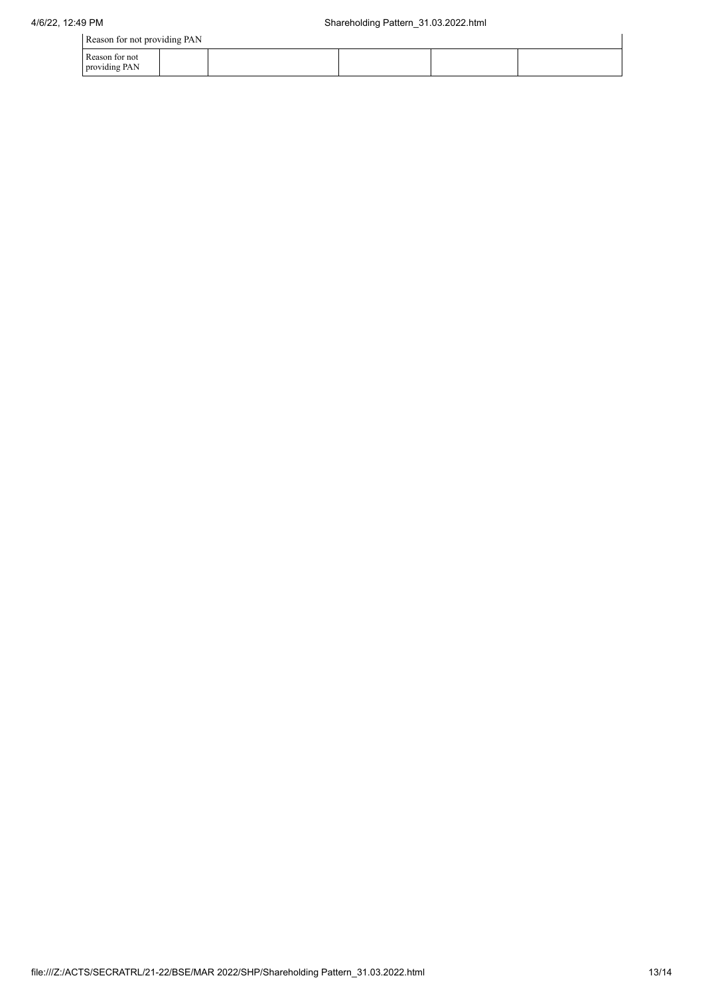| Reason for not providing PAN    |  |  |  |  |  |
|---------------------------------|--|--|--|--|--|
| Reason for not<br>providing PAN |  |  |  |  |  |